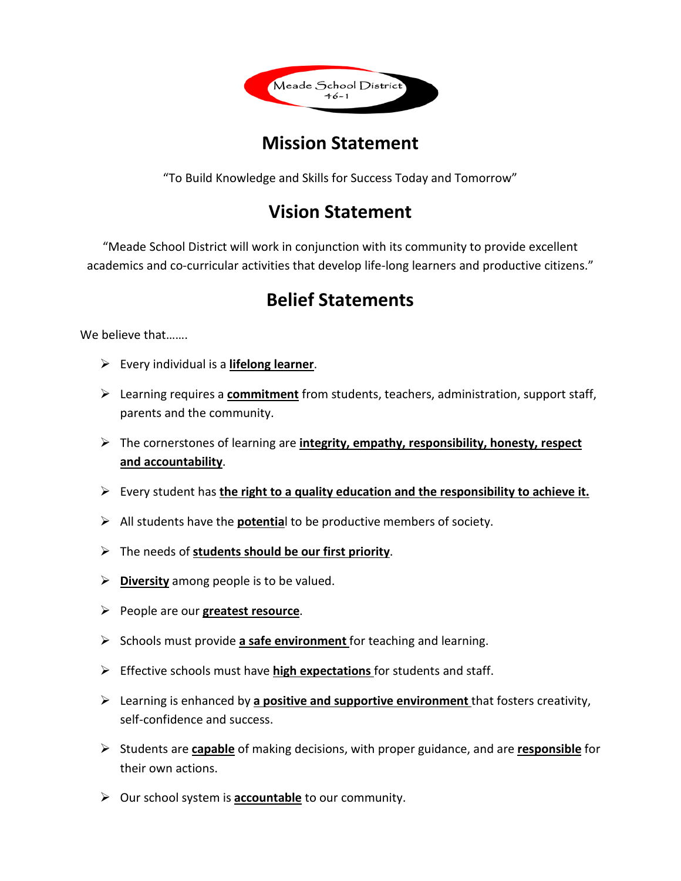

## **Mission Statement**

"To Build Knowledge and Skills for Success Today and Tomorrow"

## **Vision Statement**

"Meade School District will work in conjunction with its community to provide excellent academics and co-curricular activities that develop life-long learners and productive citizens."

## **Belief Statements**

We believe that…….

- Every individual is a **lifelong learner**.
- Learning requires a **commitment** from students, teachers, administration, support staff, parents and the community.
- The cornerstones of learning are **integrity, empathy, responsibility, honesty, respect and accountability**.
- Every student has **the right to a quality education and the responsibility to achieve it.**
- All students have the **potentia**l to be productive members of society.
- The needs of **students should be our first priority**.
- **Diversity** among people is to be valued.
- People are our **greatest resource**.
- Schools must provide a safe environment for teaching and learning.
- Effective schools must have **high expectations** for students and staff.
- Learning is enhanced by **a positive and supportive environment** that fosters creativity, self-confidence and success.
- Students are **capable** of making decisions, with proper guidance, and are **responsible** for their own actions.
- Our school system is **accountable** to our community.